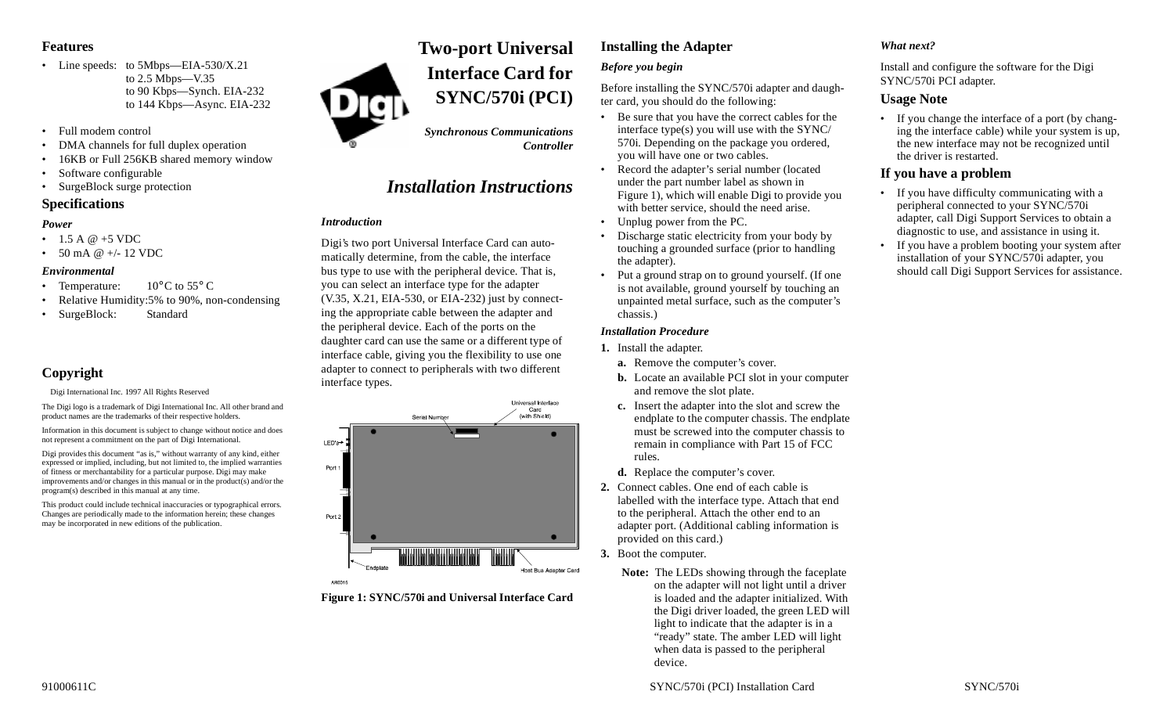## **Features**

- Line speeds: to 5Mbps—EIA-530/X.21 to 2.5 Mbps—V.35 to 90 Kbps—Synch. EIA-232 to 144 Kbps—Async. EIA-232
- Full modem control
- •DMA channels for full duplex operation
- 16KB or Full 256KB shared memory window
- •Software configurable
- SurgeBlock surge protection

## **Specifications**

#### *Power*

- 1.5 A  $@+5$  VDC
- 50 mA @ +/- 12 VDC

#### *Environmental*

- Temperature:  $10^{\circ}$ C to 55° C
- •Relative Humidity:5% to 90%, non-condensing
- SurgeBlock: Standard

# **Copyright**

Digi International Inc. 1997 All Rights Reserved

The Digi logo is a trademark of Digi International Inc. All other brand and product names are the trademarks of their respective holders.

Information in this document is subject to change without notice and does not represent a commitment on the part of Digi International.

Digi provides this document "as is," without warranty of any kind, either expressed or implied, including, but not limited to, the implied warranties of fitness or merchantability for a particular purpose. Digi may make improvements and/or changes in this manual or in the product(s) and/or the program(s) described in this manual at any time.

This product could include technical inaccuracies or typographical errors. Changes are periodically made to the information herein; these changes may be incorporated in new editions of the publication.

# **Two-port Universal Interface Card forSYNC/570i (PCI)**

*Synchronous Communications Controller*

# *Installation Instructions*

## *Introduction*

Digi's two port Universal Interface Card can automatically determine, from the cable, the interface bus type to use with the peripheral device. That is, you can select an interface type for the adapter (V.35, X.21, EIA-530, or EIA-232) just by connecting the appropriate cable between the adapter and the peripheral device. Each of the ports on the daughter card can use the same or a different type of interface cable, giving you the flexibility to use one adapter to connect to peripherals with two different interface types.



**Figure 1: SYNC/570i and Universal Interface Card**

# **Installing the Adapter** *Before you begin*

Before installing the SYNC/570i adapter and daughter card, you should do the following:

- Be sure that you have the correct cables for the interface type(s) you will use with the SYNC/ 570i. Depending on the package you ordered, you will have one or two cables.
- Record the adapter's serial number (located under the part number label as shown in Figure 1), which will enable Digi to provide you with better service, should the need arise.
- Unplug power from the PC.
- • Discharge static electricity from your body by touching a grounded surface (prior to handling the adapter).
- Put a ground strap on to ground yourself. (If one is not available, ground yourself by touching an unpainted metal surface, such as the computer's chassis.)

## *Installation Procedure*

- **1.** Install the adapter.
	- **a.** Remove the computer's cover.
	- **b.** Locate an available PCI slot in your computer and remove the slot plate.
	- **c.** Insert the adapter into the slot and screw the endplate to the computer chassis. The endplate must be screwed into the computer chassis to remain in compliance with Part 15 of FCC rules.
	- **d.** Replace the computer's cover.
- **2.** Connect cables. One end of each cable is labelled with the interface type. Attach that end to the peripheral. Attach the other end to an adapter port. (Additional cabling information is provided on this card.)
- **3.** Boot the computer.
	- **Note:** The LEDs showing through the faceplate on the adapter will not light until a driver is loaded and the adapter initialized. With the Digi driver loaded, the green LED will light to indicate that the adapter is in a "ready" state. The amber LED will light when data is passed to the peripheral device.

# *What next?*

Install and configure the software for the Digi SYNC/570i PCI adapter.

# **Usage Note**

• If you change the interface of a port (by changing the interface cable) while your system is up, the new interface may not be recognized until the driver is restarted.

# **If you have a problem**

- If you have difficulty communicating with a peripheral connected to your SYNC/570i adapter, call Digi Support Services to obtain a diagnostic to use, and assistance in using it.
- If you have a problem booting your system after installation of your SYNC/570i adapter, you should call Digi Support Services for assistance.